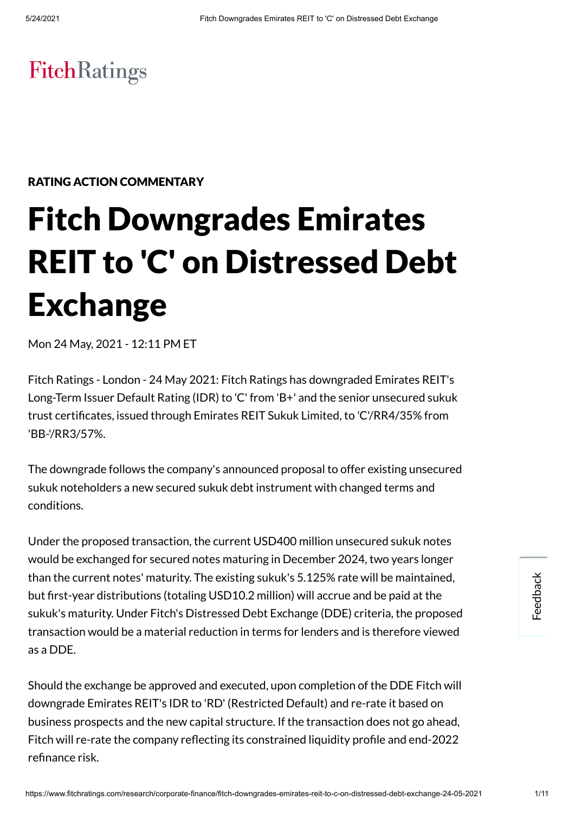# FitchRatings

## RATING ACTION COMMENTARY

# Fitch Downgrades Emirates REIT to 'C' on Distressed Debt Exchange

Mon 24 May, 2021 - 12:11 PM ET

Fitch Ratings - London - 24 May 2021: Fitch Ratings has downgraded Emirates REIT's Long-Term Issuer Default Rating (IDR) to 'C' from 'B+' and the senior unsecured sukuk trust certificates, issued through Emirates REIT Sukuk Limited, to 'C'/RR4/35% from 'BB-'/RR3/57%.

The downgrade follows the company's announced proposal to offer existing unsecured sukuk noteholders a new secured sukuk debt instrument with changed terms and conditions.

Under the proposed transaction, the current USD400 million unsecured sukuk notes would be exchanged for secured notes maturing in December 2024, two years longer than the current notes' maturity. The existing sukuk's 5.125% rate will be maintained, but first-year distributions (totaling USD10.2 million) will accrue and be paid at the sukuk's maturity. Under Fitch's Distressed Debt Exchange (DDE) criteria, the proposed transaction would be a material reduction in terms for lenders and is therefore viewed as a DDE.

Should the exchange be approved and executed, upon completion of the DDE Fitch will downgrade Emirates REIT's IDR to 'RD' (Restricted Default) and re-rate it based on business prospects and the new capital structure. If the transaction does not go ahead, Fitch will re-rate the company reflecting its constrained liquidity profile and end-2022 refinance risk.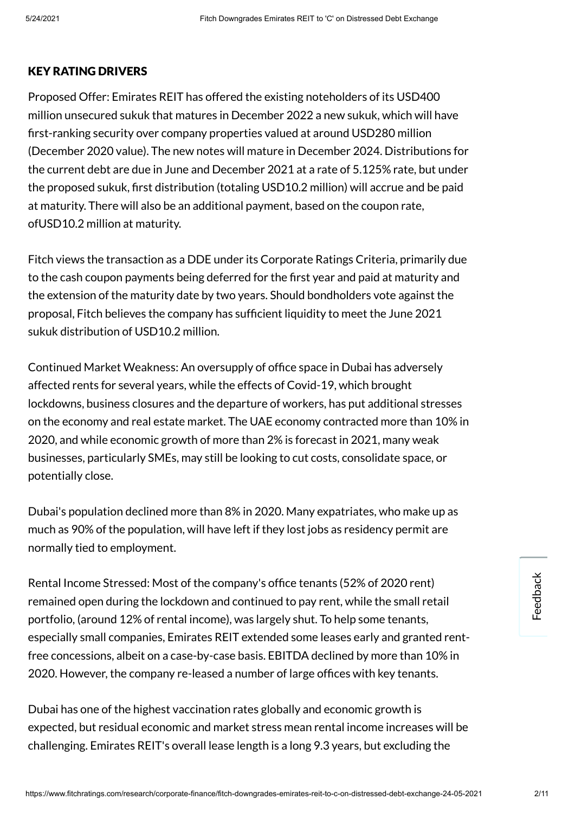#### KEY RATING DRIVERS

Proposed Offer: Emirates REIT has offered the existing noteholders of its USD400 million unsecured sukuk that matures in December 2022 a new sukuk, which will have rst-ranking security over company properties valued at around USD280 million (December 2020 value). The new notes will mature in December 2024. Distributions for the current debt are due in June and December 2021 at a rate of 5.125% rate, but under the proposed sukuk, first distribution (totaling USD10.2 million) will accrue and be paid at maturity. There will also be an additional payment, based on the coupon rate, ofUSD10.2 million at maturity.

Fitch views the transaction as a DDE under its Corporate Ratings Criteria, primarily due to the cash coupon payments being deferred for the first year and paid at maturity and the extension of the maturity date by two years. Should bondholders vote against the proposal, Fitch believes the company has sufficient liquidity to meet the June 2021 sukuk distribution of USD10.2 million.

Continued Market Weakness: An oversupply of office space in Dubai has adversely affected rents for several years, while the effects of Covid-19, which brought lockdowns, business closures and the departure of workers, has put additional stresses on the economy and real estate market. The UAE economy contracted more than 10% in 2020, and while economic growth of more than 2% is forecast in 2021, many weak businesses, particularly SMEs, may still be looking to cut costs, consolidate space, or potentially close.

Dubai's population declined more than 8% in 2020. Many expatriates, who make up as much as 90% of the population, will have left if they lost jobs as residency permit are normally tied to employment.

Rental Income Stressed: Most of the company's office tenants (52% of 2020 rent) remained open during the lockdown and continued to pay rent, while the small retail portfolio, (around 12% of rental income), was largely shut. To help some tenants, especially small companies, Emirates REIT extended some leases early and granted rentfree concessions, albeit on a case-by-case basis. EBITDA declined by more than 10% in 2020. However, the company re-leased a number of large offices with key tenants.

Dubai has one of the highest vaccination rates globally and economic growth is expected, but residual economic and market stress mean rental income increases will be challenging. Emirates REIT's overall lease length is a long 9.3 years, but excluding the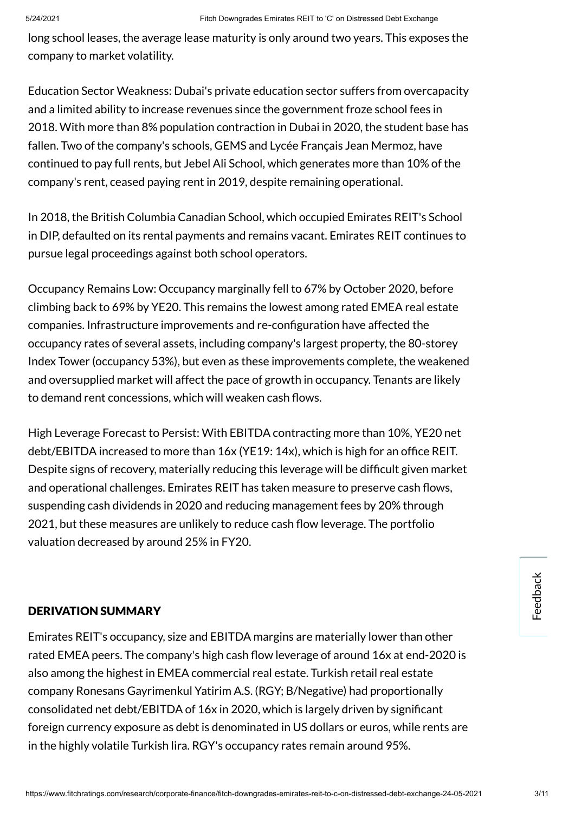long school leases, the average lease maturity is only around two years. This exposes the company to market volatility.

Education Sector Weakness: Dubai's private education sector suffers from overcapacity and a limited ability to increase revenues since the government froze school fees in 2018. With more than 8% population contraction in Dubai in 2020, the student base has fallen. Two of the company's schools, GEMS and Lycée Français Jean Mermoz, have continued to pay full rents, but Jebel Ali School, which generates more than 10% of the company's rent, ceased paying rent in 2019, despite remaining operational.

In 2018, the British Columbia Canadian School, which occupied Emirates REIT's School in DIP, defaulted on its rental payments and remains vacant. Emirates REIT continues to pursue legal proceedings against both school operators.

Occupancy Remains Low: Occupancy marginally fell to 67% by October 2020, before climbing back to 69% by YE20. This remains the lowest among rated EMEA real estate companies. Infrastructure improvements and re-configuration have affected the occupancy rates of several assets, including company's largest property, the 80-storey Index Tower (occupancy 53%), but even as these improvements complete, the weakened and oversupplied market will affect the pace of growth in occupancy. Tenants are likely to demand rent concessions, which will weaken cash flows.

High Leverage Forecast to Persist: With EBITDA contracting more than 10%, YE20 net debt/EBITDA increased to more than 16x (YE19: 14x), which is high for an office REIT. Despite signs of recovery, materially reducing this leverage will be difficult given market and operational challenges. Emirates REIT has taken measure to preserve cash flows, suspending cash dividends in 2020 and reducing management fees by 20% through 2021, but these measures are unlikely to reduce cash flow leverage. The portfolio valuation decreased by around 25% in FY20.

#### DERIVATION SUMMARY

Emirates REIT's occupancy, size and EBITDA margins are materially lower than other rated EMEA peers. The company's high cash flow leverage of around 16x at end-2020 is also among the highest in EMEA commercial real estate. Turkish retail real estate company Ronesans Gayrimenkul Yatirim A.S. (RGY; B/Negative) had proportionally consolidated net debt/EBITDA of 16x in 2020, which is largely driven by signicant foreign currency exposure as debt is denominated in US dollars or euros, while rents are in the highly volatile Turkish lira. RGY's occupancy rates remain around 95%.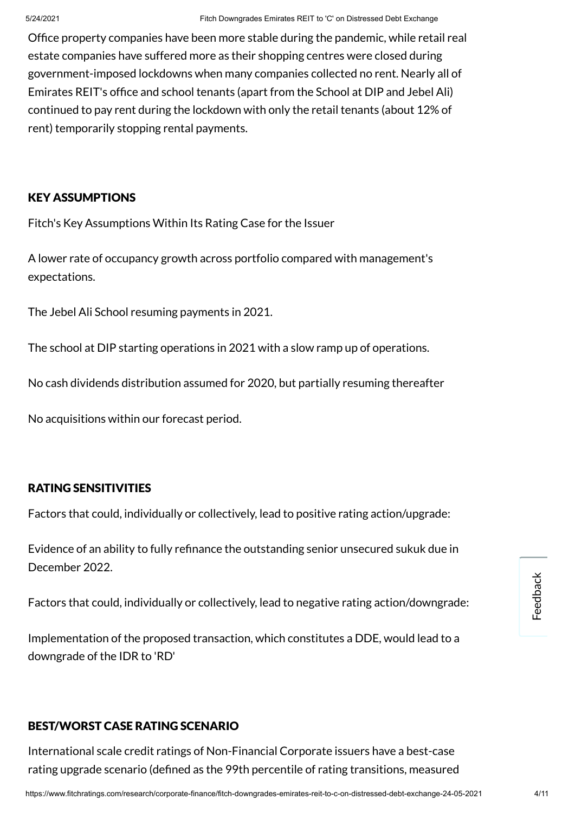Office property companies have been more stable during the pandemic, while retail real estate companies have suffered more as their shopping centres were closed during government-imposed lockdowns when many companies collected no rent. Nearly all of Emirates REIT's office and school tenants (apart from the School at DIP and Jebel Ali) continued to pay rent during the lockdown with only the retail tenants (about 12% of rent) temporarily stopping rental payments.

#### KEY ASSUMPTIONS

Fitch's Key Assumptions Within Its Rating Case for the Issuer

A lower rate of occupancy growth across portfolio compared with management's expectations.

The Jebel Ali School resuming payments in 2021.

The school at DIP starting operations in 2021 with a slow ramp up of operations.

No cash dividends distribution assumed for 2020, but partially resuming thereafter

No acquisitions within our forecast period.

#### RATING SENSITIVITIES

Factors that could, individually or collectively, lead to positive rating action/upgrade:

Evidence of an ability to fully refinance the outstanding senior unsecured sukuk due in December 2022.

Factors that could, individually or collectively, lead to negative rating action/downgrade:

Implementation of the proposed transaction, which constitutes a DDE, would lead to a downgrade of the IDR to 'RD'

#### BEST/WORST CASE RATING SCENARIO

International scale credit ratings of Non-Financial Corporate issuers have a best-case rating upgrade scenario (defined as the 99th percentile of rating transitions, measured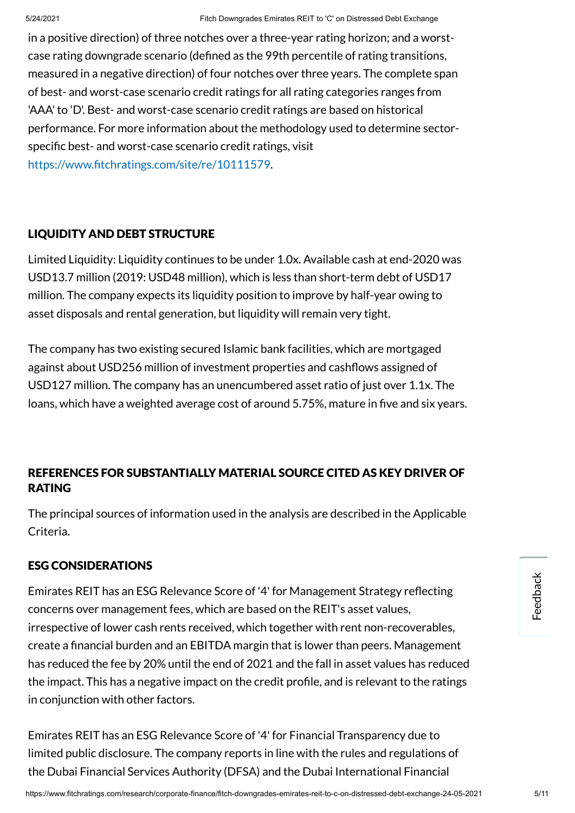in a positive direction) of three notches over a three-year rating horizon; and a worstcase rating downgrade scenario (defined as the 99th percentile of rating transitions, measured in a negative direction) of four notches over three years. The complete span of best- and worst-case scenario credit ratings for all rating categories ranges from 'AAA' to 'D'. Best- and worst-case scenario credit ratings are based on historical performance. For more information about the methodology used to determine sectorspecific best- and worst-case scenario credit ratings, visit https://www.fitchratings.com/site/re/10111579.

# LIQUIDITY AND DEBT STRUCTURE

Limited Liquidity: Liquidity continues to be under 1.0x. Available cash at end-2020 was USD13.7 million (2019: USD48 million), which is less than short-term debt of USD17 million. The company expects its liquidity position to improve by half-year owing to asset disposals and rental generation, but liquidity will remain very tight.

The company has two existing secured Islamic bank facilities, which are mortgaged against about USD256 million of investment properties and cashflows assigned of USD127 million. The company has an unencumbered asset ratio of just over 1.1x. The loans, which have a weighted average cost of around 5.75%, mature in five and six years.

# REFERENCES FOR SUBSTANTIALLY MATERIAL SOURCE CITED AS KEY DRIVER OF RATING

The principal sources of information used in the analysis are described in the Applicable Criteria.

#### ESG CONSIDERATIONS

Emirates REIT has an ESG Relevance Score of '4' for Management Strategy reflecting concerns over management fees, which are based on the REIT's asset values, irrespective of lower cash rents received, which together with rent non-recoverables, create a financial burden and an EBITDA margin that is lower than peers. Management has reduced the fee by 20% until the end of 2021 and the fall in asset values has reduced the impact. This has a negative impact on the credit profile, and is relevant to the ratings in conjunction with other factors.

Emirates REIT has an ESG Relevance Score of '4' for Financial Transparency due to limited public disclosure. The company reports in line with the rules and regulations of the Dubai Financial Services Authority (DFSA) and the Dubai International Financial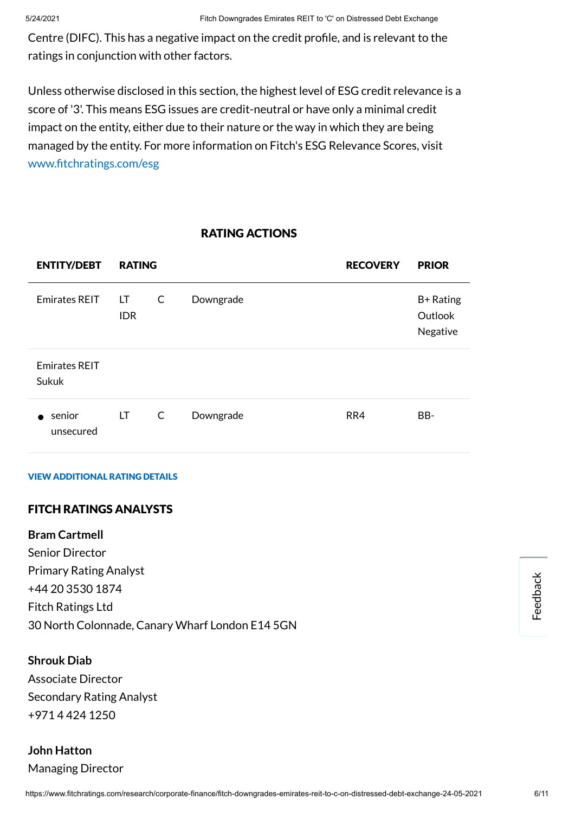Centre (DIFC). This has a negative impact on the credit profile, and is relevant to the ratings in conjunction with other factors.

Unless otherwise disclosed in this section, the highest level of ESG credit relevance is a score of '3'. This means ESG issues are credit-neutral or have only a minimal credit impact on the entity, either due to their nature or the way in which they are being managed by the entity. For more information on Fitch's ESG Relevance Scores, visit www.fitchratings.com/esg

## RATING ACTIONS

| <b>ENTITY/DEBT</b>            | <b>RATING</b>    |              |           | <b>RECOVERY</b> | <b>PRIOR</b>                     |
|-------------------------------|------------------|--------------|-----------|-----------------|----------------------------------|
| <b>Emirates REIT</b>          | LT<br><b>IDR</b> | $\mathsf{C}$ | Downgrade |                 | B+ Rating<br>Outlook<br>Negative |
| <b>Emirates REIT</b><br>Sukuk |                  |              |           |                 |                                  |
| senior<br>unsecured           | LT.              | $\mathsf{C}$ | Downgrade | RR4             | BB-                              |

#### VIEW ADDITIONAL RATING DETAILS

#### FITCH RATINGS ANALYSTS

#### **Bram Cartmell**

Senior Director Primary Rating Analyst +44 20 3530 1874 Fitch Ratings Ltd 30 North Colonnade, Canary Wharf London E14 5GN

#### **Shrouk Diab**

Associate Director Secondary Rating Analyst +971 4 424 1250

# **John Hatton** Managing Director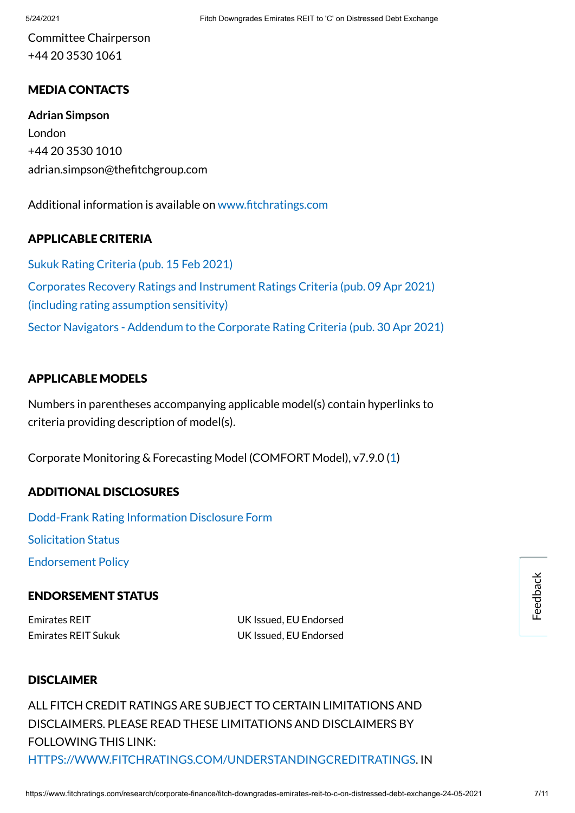Committee Chairperson +44 20 3530 1061

## MEDIA CONTACTS

**Adrian Simpson** London +44 20 3530 1010 adrian.simpson@thefitchgroup.com

Additional information is available on www.fitchratings.com

#### APPLICABLE CRITERIA

Sukuk Rating Criteria (pub. 15 [Feb 2021\)](https://www.fitchratings.com/research/islamic-finance/sukuk-rating-criteria-15-02-2021) Corporates Recovery Ratings and Instrument [Ratings Criteria](https://www.fitchratings.com/research/corporate-finance/corporates-recovery-ratings-instrument-ratings-criteria-09-04-2021) (pub. 09 Apr 2021) (including rating assumption sensitivity) Sector Navigators - [Addendum](https://www.fitchratings.com/research/corporate-finance/sector-navigators-addendum-to-corporate-rating-criteria-30-04-2021) to the Corporate Rating Criteria (pub. 30 Apr 2021)

#### APPLICABLE MODELS

Numbers in parentheses accompanying applicable model(s) contain hyperlinks to criteria providing description of model(s).

Corporate Monitoring & Forecasting Model (COMFORT Model), v7.9.0 ([1\)](https://www.fitchratings.com/research/corporate-finance/corporate-rating-criteria-21-12-2020)

#### ADDITIONAL DISCLOSURES

[Dodd-Frank](https://www.fitchratings.com/research/corporate-finance/fitch-downgrades-emirates-reit-to-c-on-distressed-debt-exchange-24-05-2021/dodd-frank-disclosure) Rating Information Disclosure Form Solicitation Status

[Endorsement](#page-9-0) Policy

#### ENDORSEMENT STATUS

Emirates REIT UK Issued, EU Endorsed Emirates REIT Sukuk UK Issued, EU Endorsed

#### DISCLAIMER

ALL FITCH CREDIT RATINGS ARE SUBJECT TO CERTAIN LIMITATIONS AND DISCLAIMERS. PLEASE READ THESE LIMITATIONS AND DISCLAIMERS BY FOLLOWING THIS LINK: [HTTPS://WWW.FITCHRATINGS.COM/UNDERSTANDINGCREDITRATINGS](https://www.fitchratings.com/UNDERSTANDINGCREDITRATINGS). IN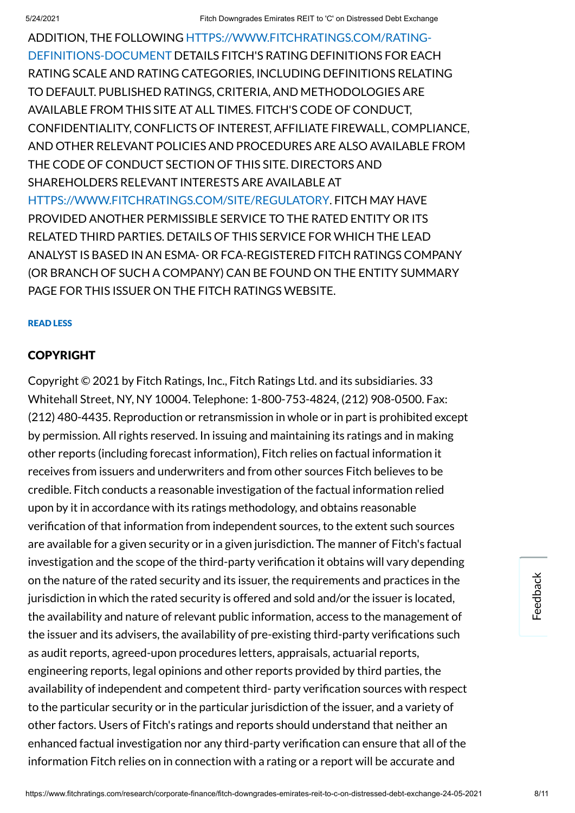ADDITION, THE FOLLOWING [HTTPS://WWW.FITCHRATINGS.COM/RATING-](https://www.fitchratings.com/rating-definitions-document)DEFINITIONS-DOCUMENT DETAILS FITCH'S RATING DEFINITIONS FOR EACH RATING SCALE AND RATING CATEGORIES, INCLUDING DEFINITIONS RELATING TO DEFAULT. PUBLISHED RATINGS, CRITERIA, AND METHODOLOGIES ARE AVAILABLE FROM THIS SITE AT ALL TIMES. FITCH'S CODE OF CONDUCT, CONFIDENTIALITY, CONFLICTS OF INTEREST, AFFILIATE FIREWALL, COMPLIANCE, AND OTHER RELEVANT POLICIES AND PROCEDURES ARE ALSO AVAILABLE FROM THE CODE OF CONDUCT SECTION OF THIS SITE. DIRECTORS AND SHAREHOLDERS RELEVANT INTERESTS ARE AVAILABLE AT [HTTPS://WWW.FITCHRATINGS.COM/SITE/REGULATORY](https://www.fitchratings.com/site/regulatory). FITCH MAY HAVE PROVIDED ANOTHER PERMISSIBLE SERVICE TO THE RATED ENTITY OR ITS RELATED THIRD PARTIES. DETAILS OF THIS SERVICE FOR WHICH THE LEAD ANALYST IS BASED IN AN ESMA- OR FCA-REGISTERED FITCH RATINGS COMPANY (OR BRANCH OF SUCH A COMPANY) CAN BE FOUND ON THE ENTITY SUMMARY PAGE FOR THIS ISSUER ON THE FITCH RATINGS WEBSITE.

#### READ LESS

#### **COPYRIGHT**

Copyright © 2021 by Fitch Ratings, Inc., Fitch Ratings Ltd. and its subsidiaries. 33 Whitehall Street, NY, NY 10004. Telephone: 1-800-753-4824, (212) 908-0500. Fax: (212) 480-4435. Reproduction or retransmission in whole or in part is prohibited except by permission. All rights reserved. In issuing and maintaining its ratings and in making other reports (including forecast information), Fitch relies on factual information it receives from issuers and underwriters and from other sources Fitch believes to be credible. Fitch conducts a reasonable investigation of the factual information relied upon by it in accordance with its ratings methodology, and obtains reasonable verification of that information from independent sources, to the extent such sources are available for a given security or in a given jurisdiction. The manner of Fitch's factual investigation and the scope of the third-party verification it obtains will vary depending on the nature of the rated security and its issuer, the requirements and practices in the jurisdiction in which the rated security is offered and sold and/or the issuer is located. the availability and nature of relevant public information, access to the management of the issuer and its advisers, the availability of pre-existing third-party verifications such as audit reports, agreed-upon procedures letters, appraisals, actuarial reports, engineering reports, legal opinions and other reports provided by third parties, the availability of independent and competent third- party verification sources with respect to the particular security or in the particular jurisdiction of the issuer, and a variety of other factors. Users of Fitch's ratings and reports should understand that neither an enhanced factual investigation nor any third-party verification can ensure that all of the information Fitch relies on in connection with a rating or a report will be accurate and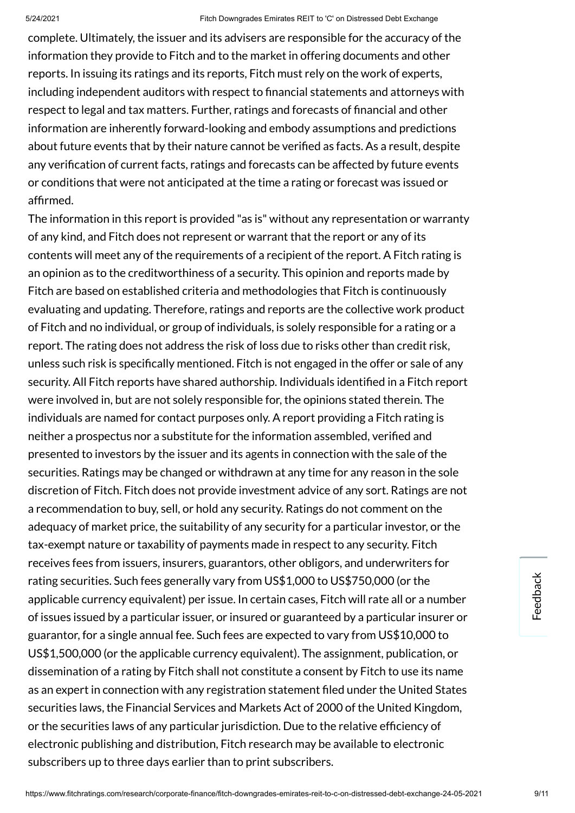complete. Ultimately, the issuer and its advisers are responsible for the accuracy of the information they provide to Fitch and to the market in offering documents and other reports. In issuing its ratings and its reports, Fitch must rely on the work of experts, including independent auditors with respect to financial statements and attorneys with respect to legal and tax matters. Further, ratings and forecasts of financial and other information are inherently forward-looking and embody assumptions and predictions about future events that by their nature cannot be verified as facts. As a result, despite any verification of current facts, ratings and forecasts can be affected by future events or conditions that were not anticipated at the time a rating or forecast was issued or affirmed.

The information in this report is provided "as is" without any representation or warranty of any kind, and Fitch does not represent or warrant that the report or any of its contents will meet any of the requirements of a recipient of the report. A Fitch rating is an opinion as to the creditworthiness of a security. This opinion and reports made by Fitch are based on established criteria and methodologies that Fitch is continuously evaluating and updating. Therefore, ratings and reports are the collective work product of Fitch and no individual, or group of individuals, is solely responsible for a rating or a report. The rating does not address the risk of loss due to risks other than credit risk, unless such risk is specifically mentioned. Fitch is not engaged in the offer or sale of any security. All Fitch reports have shared authorship. Individuals identified in a Fitch report were involved in, but are not solely responsible for, the opinions stated therein. The individuals are named for contact purposes only. A report providing a Fitch rating is neither a prospectus nor a substitute for the information assembled, verified and presented to investors by the issuer and its agents in connection with the sale of the securities. Ratings may be changed or withdrawn at any time for any reason in the sole discretion of Fitch. Fitch does not provide investment advice of any sort. Ratings are not a recommendation to buy, sell, or hold any security. Ratings do not comment on the adequacy of market price, the suitability of any security for a particular investor, or the tax-exempt nature or taxability of payments made in respect to any security. Fitch receives fees from issuers, insurers, guarantors, other obligors, and underwriters for rating securities. Such fees generally vary from US\$1,000 to US\$750,000 (or the applicable currency equivalent) per issue. In certain cases, Fitch will rate all or a number of issues issued by a particular issuer, or insured or guaranteed by a particular insurer or guarantor, for a single annual fee. Such fees are expected to vary from US\$10,000 to US\$1,500,000 (or the applicable currency equivalent). The assignment, publication, or dissemination of a rating by Fitch shall not constitute a consent by Fitch to use its name as an expert in connection with any registration statement filed under the United States securities laws, the Financial Services and Markets Act of 2000 of the United Kingdom, or the securities laws of any particular jurisdiction. Due to the relative efficiency of electronic publishing and distribution, Fitch research may be available to electronic subscribers up to three days earlier than to print subscribers.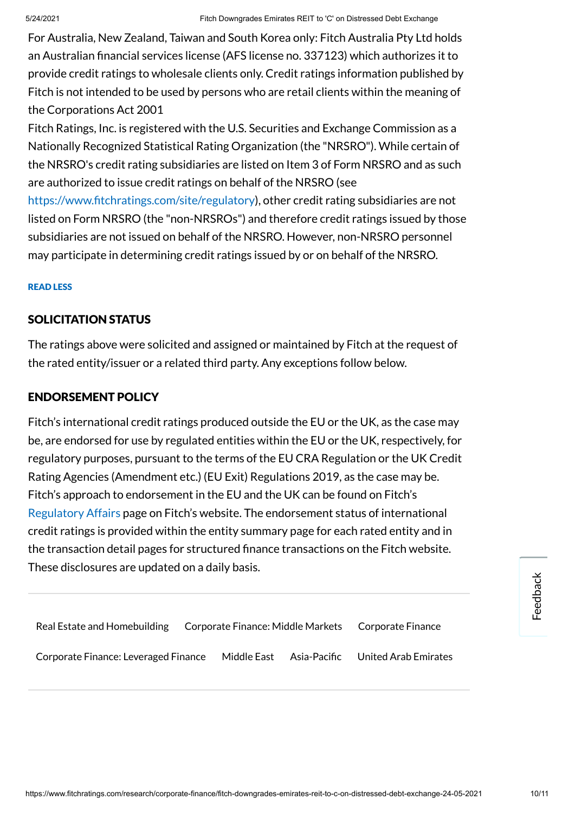For Australia, New Zealand, Taiwan and South Korea only: Fitch Australia Pty Ltd holds an Australian financial services license (AFS license no. 337123) which authorizes it to provide credit ratings to wholesale clients only. Credit ratings information published by Fitch is not intended to be used by persons who are retail clients within the meaning of the Corporations Act 2001

Fitch Ratings, Inc. is registered with the U.S. Securities and Exchange Commission as a Nationally Recognized Statistical Rating Organization (the "NRSRO"). While certain of the NRSRO's credit rating subsidiaries are listed on Item 3 of Form NRSRO and as such are authorized to issue credit ratings on behalf of the NRSRO (see

https://www.fitchratings.com/site/regulatory), other credit rating subsidiaries are not listed on Form NRSRO (the "non-NRSROs") and therefore credit ratings issued by those subsidiaries are not issued on behalf of the NRSRO. However, non-NRSRO personnel may participate in determining credit ratings issued by or on behalf of the NRSRO.

#### READ LESS

#### SOLICITATION STATUS

The ratings above were solicited and assigned or maintained by Fitch at the request of the rated entity/issuer or a related third party. Any exceptions follow below.

#### <span id="page-9-0"></span>ENDORSEMENT POLICY

Fitch's international credit ratings produced outside the EU or the UK, as the case may be, are endorsed for use by regulated entities within the EU or the UK, respectively, for regulatory purposes, pursuant to the terms of the EU CRA Regulation or the UK Credit Rating Agencies (Amendment etc.) (EU Exit) Regulations 2019, as the case may be. Fitch's approach to endorsement in the EU and the UK can be found on Fitch's [Regulatory](https://www.fitchratings.com/regulatory) Affairs page on Fitch's website. The endorsement status of international credit ratings is provided within the entity summary page for each rated entity and in the transaction detail pages for structured finance transactions on the Fitch website. These disclosures are updated on a daily basis.

| Real Estate and Homebuilding         |             |              | Corporate Finance: Middle Markets Corporate Finance |
|--------------------------------------|-------------|--------------|-----------------------------------------------------|
| Corporate Finance: Leveraged Finance | Middle East | Asia-Pacific | United Arab Emirates                                |